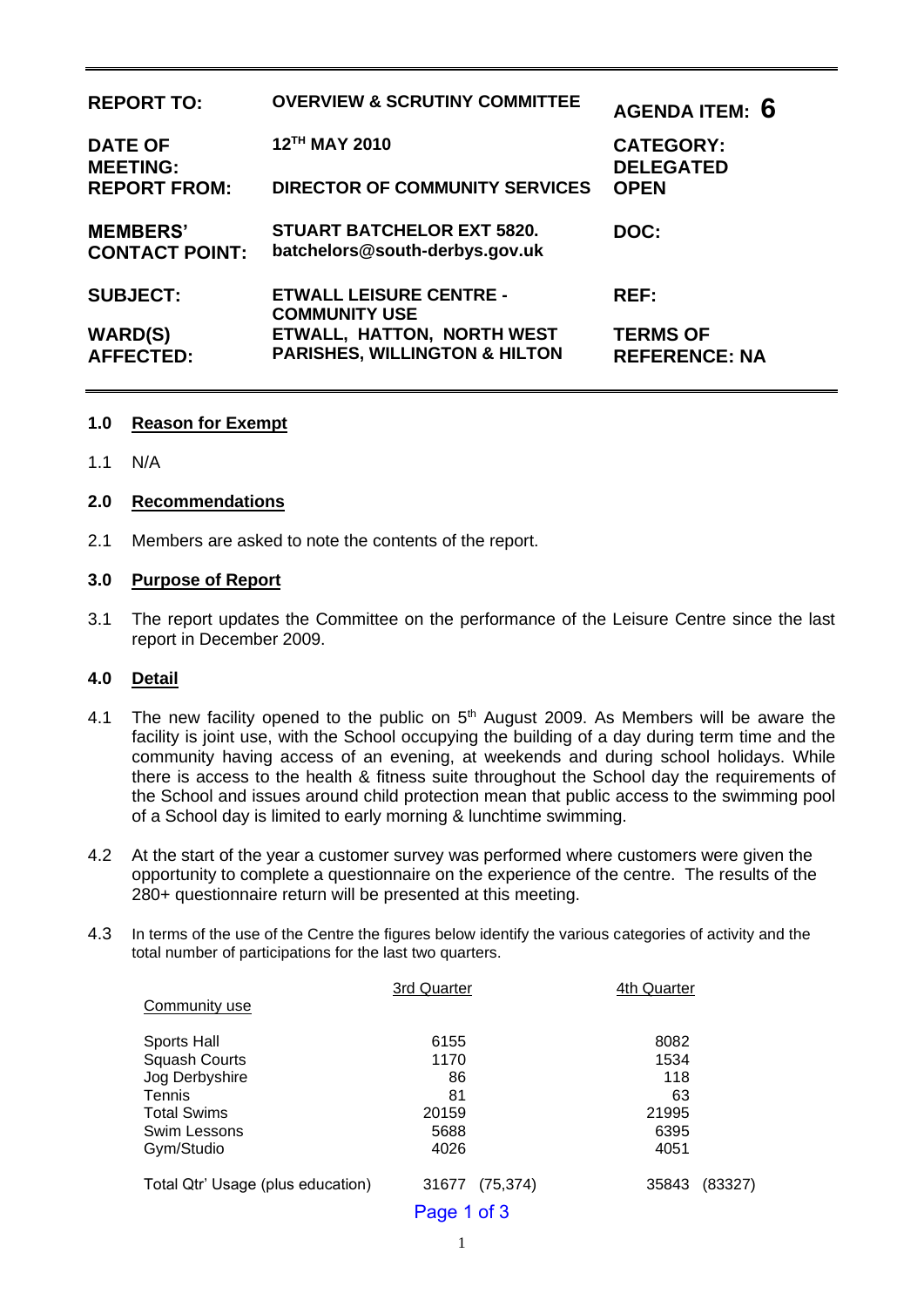| <b>REPORT TO:</b>                        | <b>OVERVIEW &amp; SCRUTINY COMMITTEE</b>                               | AGENDA ITEM: 6                          |
|------------------------------------------|------------------------------------------------------------------------|-----------------------------------------|
| <b>DATE OF</b><br><b>MEETING:</b>        | 12TH MAY 2010                                                          | <b>CATEGORY:</b><br><b>DELEGATED</b>    |
| <b>REPORT FROM:</b>                      | <b>DIRECTOR OF COMMUNITY SERVICES</b>                                  | <b>OPEN</b>                             |
| <b>MEMBERS'</b><br><b>CONTACT POINT:</b> | <b>STUART BATCHELOR EXT 5820.</b><br>batchelors@south-derbys.gov.uk    | DOC:                                    |
| <b>SUBJECT:</b>                          | <b>ETWALL LEISURE CENTRE -</b><br><b>COMMUNITY USE</b>                 | REF:                                    |
| <b>WARD(S)</b><br><b>AFFECTED:</b>       | ETWALL, HATTON, NORTH WEST<br><b>PARISHES, WILLINGTON &amp; HILTON</b> | <b>TERMS OF</b><br><b>REFERENCE: NA</b> |

#### **1.0 Reason for Exempt**

1.1 N/A

#### **2.0 Recommendations**

2.1 Members are asked to note the contents of the report.

#### **3.0 Purpose of Report**

3.1 The report updates the Committee on the performance of the Leisure Centre since the last report in December 2009.

#### **4.0 Detail**

- 4.1 The new facility opened to the public on  $5<sup>th</sup>$  August 2009. As Members will be aware the facility is joint use, with the School occupying the building of a day during term time and the community having access of an evening, at weekends and during school holidays. While there is access to the health & fitness suite throughout the School day the requirements of the School and issues around child protection mean that public access to the swimming pool of a School day is limited to early morning & lunchtime swimming.
- 4.2 At the start of the year a customer survey was performed where customers were given the opportunity to complete a questionnaire on the experience of the centre. The results of the 280+ questionnaire return will be presented at this meeting.
- 4.3 In terms of the use of the Centre the figures below identify the various categories of activity and the total number of participations for the last two quarters.

|                                   | 3rd Quarter        | 4th Quarter      |
|-----------------------------------|--------------------|------------------|
| Community use                     |                    |                  |
| Sports Hall                       | 6155               | 8082             |
| <b>Squash Courts</b>              | 1170               | 1534             |
| Jog Derbyshire                    | 86                 | 118              |
| Tennis                            | 81                 | 63               |
| <b>Total Swims</b>                | 20159              | 21995            |
| Swim Lessons                      | 5688               | 6395             |
| Gym/Studio                        | 4026               | 4051             |
| Total Qtr' Usage (plus education) | (75, 374)<br>31677 | (83327)<br>35843 |
|                                   | Page 1 of 3        |                  |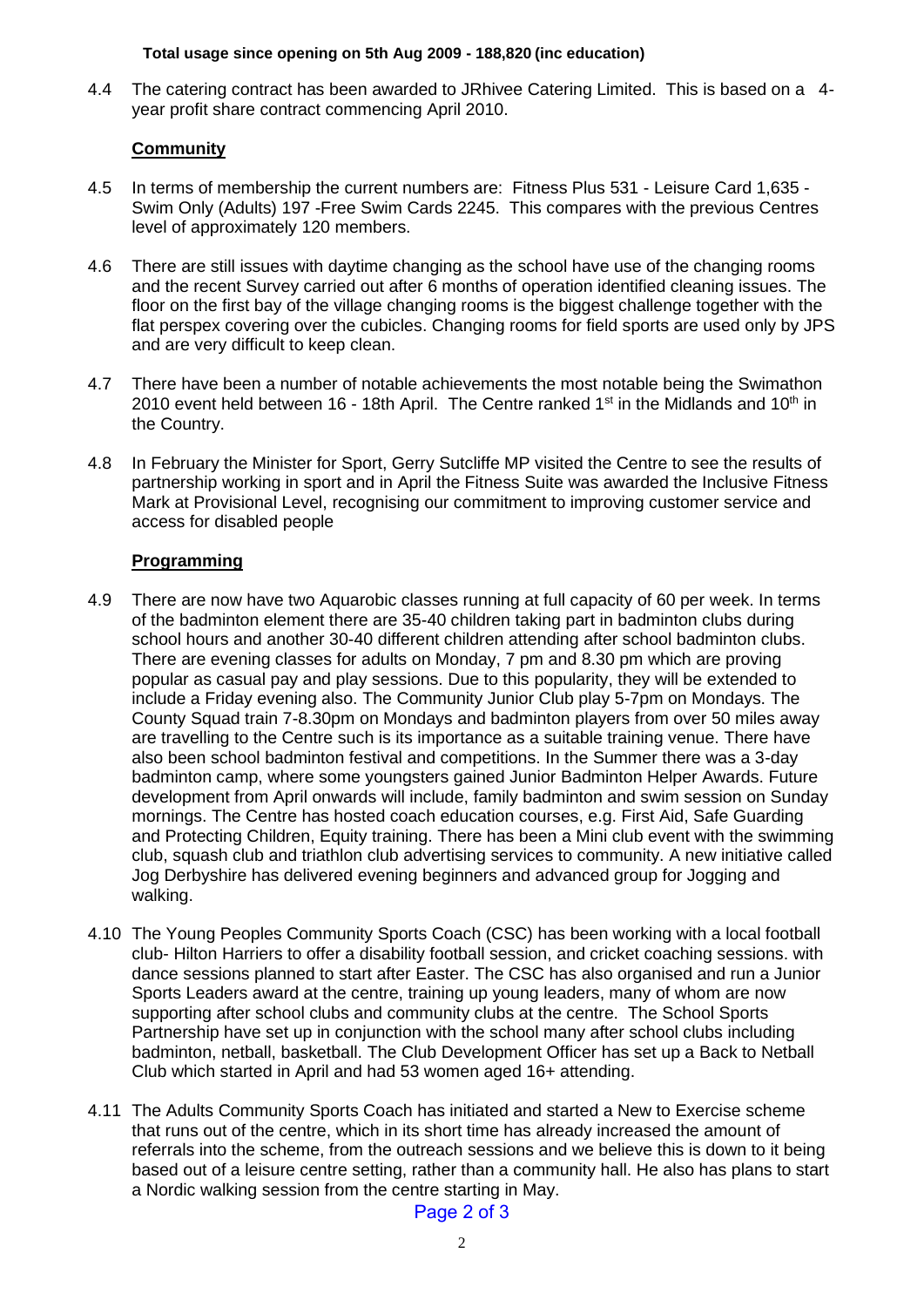#### **Total usage since opening on 5th Aug 2009 - 188,820 (inc education)**

4.4 The catering contract has been awarded to JRhivee Catering Limited. This is based on a 4year profit share contract commencing April 2010.

## **Community**

- 4.5 In terms of membership the current numbers are: Fitness Plus 531 Leisure Card 1,635 Swim Only (Adults) 197 -Free Swim Cards 2245. This compares with the previous Centres level of approximately 120 members.
- 4.6 There are still issues with daytime changing as the school have use of the changing rooms and the recent Survey carried out after 6 months of operation identified cleaning issues. The floor on the first bay of the village changing rooms is the biggest challenge together with the flat perspex covering over the cubicles. Changing rooms for field sports are used only by JPS and are very difficult to keep clean.
- 4.7 There have been a number of notable achievements the most notable being the Swimathon 2010 event held between 16 - 18th April. The Centre ranked 1<sup>st</sup> in the Midlands and 10<sup>th</sup> in the Country.
- 4.8 In February the Minister for Sport, Gerry Sutcliffe MP visited the Centre to see the results of partnership working in sport and in April the Fitness Suite was awarded the Inclusive Fitness Mark at Provisional Level, recognising our commitment to improving customer service and access for disabled people

## **Programming**

- 4.9 There are now have two Aquarobic classes running at full capacity of 60 per week. In terms of the badminton element there are 35-40 children taking part in badminton clubs during school hours and another 30-40 different children attending after school badminton clubs. There are evening classes for adults on Monday, 7 pm and 8.30 pm which are proving popular as casual pay and play sessions. Due to this popularity, they will be extended to include a Friday evening also. The Community Junior Club play 5-7pm on Mondays. The County Squad train 7-8.30pm on Mondays and badminton players from over 50 miles away are travelling to the Centre such is its importance as a suitable training venue. There have also been school badminton festival and competitions. In the Summer there was a 3-day badminton camp, where some youngsters gained Junior Badminton Helper Awards. Future development from April onwards will include, family badminton and swim session on Sunday mornings. The Centre has hosted coach education courses, e.g. First Aid, Safe Guarding and Protecting Children, Equity training. There has been a Mini club event with the swimming club, squash club and triathlon club advertising services to community. A new initiative called Jog Derbyshire has delivered evening beginners and advanced group for Jogging and walking.
- 4.10 The Young Peoples Community Sports Coach (CSC) has been working with a local football club- Hilton Harriers to offer a disability football session, and cricket coaching sessions. with dance sessions planned to start after Easter. The CSC has also organised and run a Junior Sports Leaders award at the centre, training up young leaders, many of whom are now supporting after school clubs and community clubs at the centre. The School Sports Partnership have set up in conjunction with the school many after school clubs including badminton, netball, basketball. The Club Development Officer has set up a Back to Netball Club which started in April and had 53 women aged 16+ attending.
- 4.11 The Adults Community Sports Coach has initiated and started a New to Exercise scheme that runs out of the centre, which in its short time has already increased the amount of referrals into the scheme, from the outreach sessions and we believe this is down to it being based out of a leisure centre setting, rather than a community hall. He also has plans to start a Nordic walking session from the centre starting in May.

## Page 2 of 3